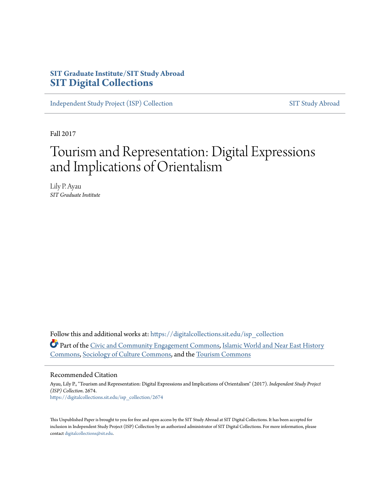# **SIT Graduate Institute/SIT Study Abroad [SIT Digital Collections](https://digitalcollections.sit.edu?utm_source=digitalcollections.sit.edu%2Fisp_collection%2F2674&utm_medium=PDF&utm_campaign=PDFCoverPages)**

[Independent Study Project \(ISP\) Collection](https://digitalcollections.sit.edu/isp_collection?utm_source=digitalcollections.sit.edu%2Fisp_collection%2F2674&utm_medium=PDF&utm_campaign=PDFCoverPages) [SIT Study Abroad](https://digitalcollections.sit.edu/study_abroad?utm_source=digitalcollections.sit.edu%2Fisp_collection%2F2674&utm_medium=PDF&utm_campaign=PDFCoverPages)

Fall 2017

# Tourism and Representation: Digital Expressions and Implications of Orientalism

Lily P. Ayau *SIT Graduate Institute*

Follow this and additional works at: [https://digitalcollections.sit.edu/isp\\_collection](https://digitalcollections.sit.edu/isp_collection?utm_source=digitalcollections.sit.edu%2Fisp_collection%2F2674&utm_medium=PDF&utm_campaign=PDFCoverPages) Part of the [Civic and Community Engagement Commons,](http://network.bepress.com/hgg/discipline/1028?utm_source=digitalcollections.sit.edu%2Fisp_collection%2F2674&utm_medium=PDF&utm_campaign=PDFCoverPages) [Islamic World and Near East History](http://network.bepress.com/hgg/discipline/493?utm_source=digitalcollections.sit.edu%2Fisp_collection%2F2674&utm_medium=PDF&utm_campaign=PDFCoverPages) [Commons,](http://network.bepress.com/hgg/discipline/493?utm_source=digitalcollections.sit.edu%2Fisp_collection%2F2674&utm_medium=PDF&utm_campaign=PDFCoverPages) [Sociology of Culture Commons,](http://network.bepress.com/hgg/discipline/431?utm_source=digitalcollections.sit.edu%2Fisp_collection%2F2674&utm_medium=PDF&utm_campaign=PDFCoverPages) and the [Tourism Commons](http://network.bepress.com/hgg/discipline/1022?utm_source=digitalcollections.sit.edu%2Fisp_collection%2F2674&utm_medium=PDF&utm_campaign=PDFCoverPages)

#### Recommended Citation

Ayau, Lily P., "Tourism and Representation: Digital Expressions and Implications of Orientalism" (2017). *Independent Study Project (ISP) Collection*. 2674. [https://digitalcollections.sit.edu/isp\\_collection/2674](https://digitalcollections.sit.edu/isp_collection/2674?utm_source=digitalcollections.sit.edu%2Fisp_collection%2F2674&utm_medium=PDF&utm_campaign=PDFCoverPages)

This Unpublished Paper is brought to you for free and open access by the SIT Study Abroad at SIT Digital Collections. It has been accepted for inclusion in Independent Study Project (ISP) Collection by an authorized administrator of SIT Digital Collections. For more information, please contact [digitalcollections@sit.edu](mailto:digitalcollections@sit.edu).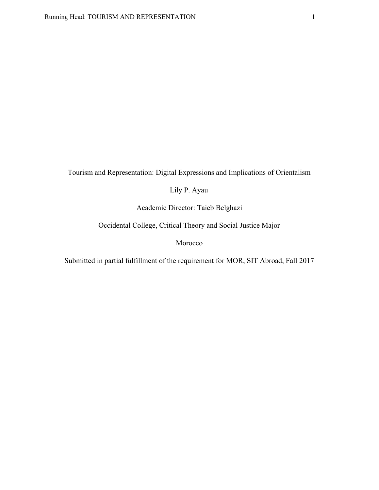Tourism and Representation: Digital Expressions and Implications of Orientalism

Lily P. Ayau

Academic Director: Taieb Belghazi

Occidental College, Critical Theory and Social Justice Major

Morocco

Submitted in partial fulfillment of the requirement for MOR, SIT Abroad, Fall 2017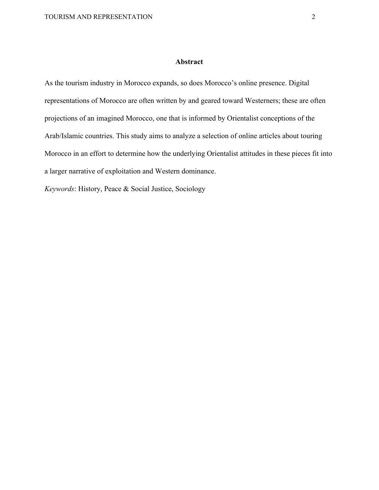#### **Abstract**

<span id="page-2-0"></span>As the tourism industry in Morocco expands, so does Morocco's online presence. Digital representations of Morocco are often written by and geared toward Westerners; these are often projections of an imagined Morocco, one that is informed by Orientalist conceptions of the Arab/Islamic countries. This study aims to analyze a selection of online articles about touring Morocco in an effort to determine how the underlying Orientalist attitudes in these pieces fit into a larger narrative of exploitation and Western dominance.

*Keywords*: History, Peace & Social Justice, Sociology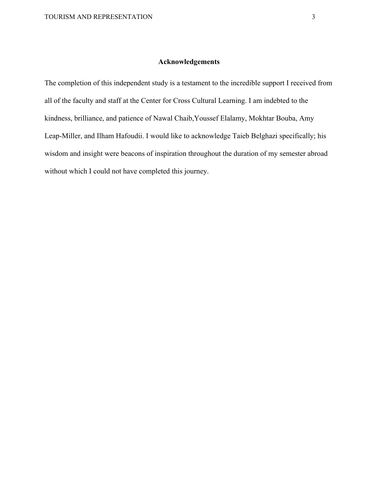### **Acknowledgements**

<span id="page-3-0"></span>The completion of this independent study is a testament to the incredible support I received from all of the faculty and staff at the Center for Cross Cultural Learning. I am indebted to the kindness, brilliance, and patience of Nawal Chaib,Youssef Elalamy, Mokhtar Bouba, Amy Leap-Miller, and Ilham Hafoudii. I would like to acknowledge Taieb Belghazi specifically; his wisdom and insight were beacons of inspiration throughout the duration of my semester abroad without which I could not have completed this journey.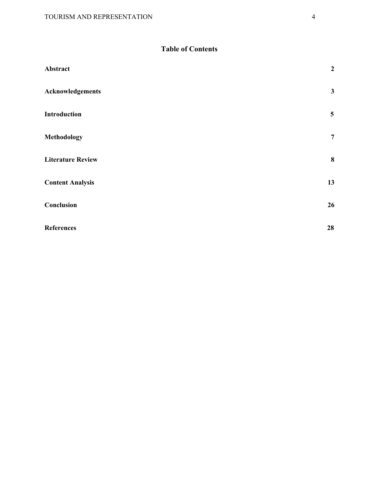# **Table of Contents**

| Abstract                 | $\boldsymbol{2}$        |
|--------------------------|-------------------------|
| <b>Acknowledgements</b>  | $\mathbf{3}$            |
| <b>Introduction</b>      | $\overline{\mathbf{5}}$ |
| <b>Methodology</b>       | $\overline{7}$          |
| <b>Literature Review</b> | $\bf{8}$                |
| <b>Content Analysis</b>  | 13                      |
| Conclusion               | 26                      |
| <b>References</b>        | 28                      |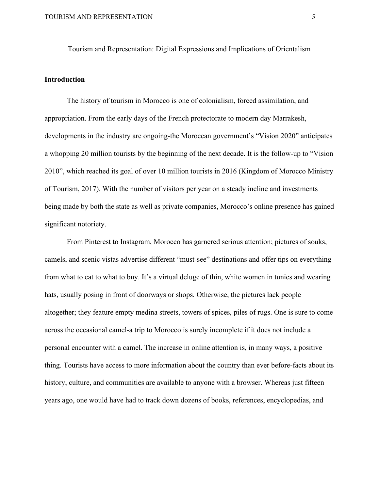Tourism and Representation: Digital Expressions and Implications of Orientalism

# <span id="page-5-0"></span>**Introduction**

The history of tourism in Morocco is one of colonialism, forced assimilation, and appropriation. From the early days of the French protectorate to modern day Marrakesh, developments in the industry are ongoing-the Moroccan government's "Vision 2020" anticipates a whopping 20 million tourists by the beginning of the next decade. It is the follow-up to "Vision 2010", which reached its goal of over 10 million tourists in 2016 (Kingdom of Morocco Ministry of Tourism, 2017). With the number of visitors per year on a steady incline and investments being made by both the state as well as private companies, Morocco's online presence has gained significant notoriety.

From Pinterest to Instagram, Morocco has garnered serious attention; pictures of souks, camels, and scenic vistas advertise different "must-see" destinations and offer tips on everything from what to eat to what to buy. It's a virtual deluge of thin, white women in tunics and wearing hats, usually posing in front of doorways or shops. Otherwise, the pictures lack people altogether; they feature empty medina streets, towers of spices, piles of rugs. One is sure to come across the occasional camel-a trip to Morocco is surely incomplete if it does not include a personal encounter with a camel. The increase in online attention is, in many ways, a positive thing. Tourists have access to more information about the country than ever before-facts about its history, culture, and communities are available to anyone with a browser. Whereas just fifteen years ago, one would have had to track down dozens of books, references, encyclopedias, and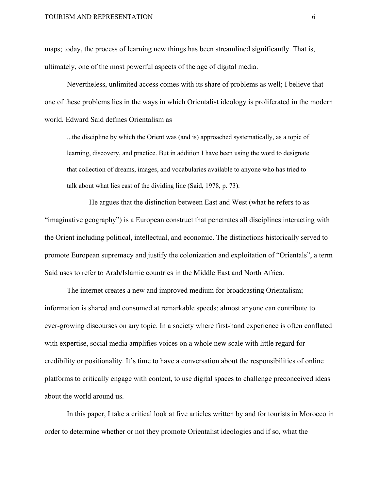maps; today, the process of learning new things has been streamlined significantly. That is, ultimately, one of the most powerful aspects of the age of digital media.

Nevertheless, unlimited access comes with its share of problems as well; I believe that one of these problems lies in the ways in which Orientalist ideology is proliferated in the modern world. Edward Said defines Orientalism as

...the discipline by which the Orient was (and is) approached systematically, as a topic of learning, discovery, and practice. But in addition I have been using the word to designate that collection of dreams, images, and vocabularies available to anyone who has tried to talk about what lies east of the dividing line (Said, 1978, p. 73).

He argues that the distinction between East and West (what he refers to as "imaginative geography") is a European construct that penetrates all disciplines interacting with the Orient including political, intellectual, and economic. The distinctions historically served to promote European supremacy and justify the colonization and exploitation of "Orientals", a term Said uses to refer to Arab/Islamic countries in the Middle East and North Africa.

The internet creates a new and improved medium for broadcasting Orientalism; information is shared and consumed at remarkable speeds; almost anyone can contribute to ever-growing discourses on any topic. In a society where first-hand experience is often conflated with expertise, social media amplifies voices on a whole new scale with little regard for credibility or positionality. It's time to have a conversation about the responsibilities of online platforms to critically engage with content, to use digital spaces to challenge preconceived ideas about the world around us.

In this paper, I take a critical look at five articles written by and for tourists in Morocco in order to determine whether or not they promote Orientalist ideologies and if so, what the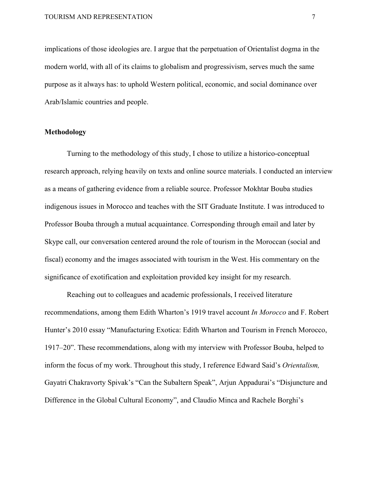implications of those ideologies are. I argue that the perpetuation of Orientalist dogma in the modern world, with all of its claims to globalism and progressivism, serves much the same purpose as it always has: to uphold Western political, economic, and social dominance over Arab/Islamic countries and people.

## <span id="page-7-0"></span>**Methodology**

Turning to the methodology of this study, I chose to utilize a historico-conceptual research approach, relying heavily on texts and online source materials. I conducted an interview as a means of gathering evidence from a reliable source. Professor Mokhtar Bouba studies indigenous issues in Morocco and teaches with the SIT Graduate Institute. I was introduced to Professor Bouba through a mutual acquaintance. Corresponding through email and later by Skype call, our conversation centered around the role of tourism in the Moroccan (social and fiscal) economy and the images associated with tourism in the West. His commentary on the significance of exotification and exploitation provided key insight for my research.

Reaching out to colleagues and academic professionals, I received literature recommendations, among them Edith Wharton's 1919 travel account *In Morocco* and F. Robert Hunter's 2010 essay "Manufacturing Exotica: Edith Wharton and Tourism in French Morocco, 1917–20". These recommendations, along with my interview with Professor Bouba, helped to inform the focus of my work. Throughout this study, I reference Edward Said's *Orientalism,* Gayatri Chakravorty Spivak's "Can the Subaltern Speak", Arjun Appadurai's "Disjuncture and Difference in the Global Cultural Economy", and Claudio Minca and Rachele Borghi's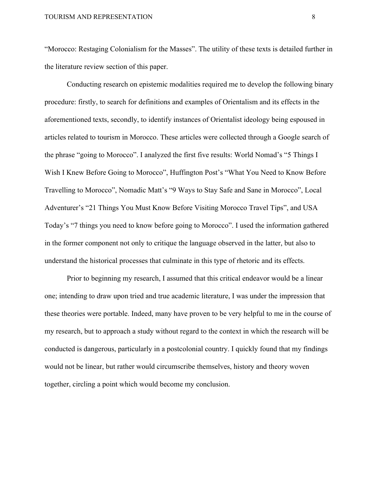"Morocco: Restaging Colonialism for the Masses". The utility of these texts is detailed further in the literature review section of this paper.

Conducting research on epistemic modalities required me to develop the following binary procedure: firstly, to search for definitions and examples of Orientalism and its effects in the aforementioned texts, secondly, to identify instances of Orientalist ideology being espoused in articles related to tourism in Morocco. These articles were collected through a Google search of the phrase "going to Morocco". I analyzed the first five results: World Nomad's "5 Things I Wish I Knew Before Going to Morocco", Huffington Post's "What You Need to Know Before Travelling to Morocco", Nomadic Matt's "9 Ways to Stay Safe and Sane in Morocco", Local Adventurer's "21 Things You Must Know Before Visiting Morocco Travel Tips", and USA Today's "7 things you need to know before going to Morocco". I used the information gathered in the former component not only to critique the language observed in the latter, but also to understand the historical processes that culminate in this type of rhetoric and its effects.

Prior to beginning my research, I assumed that this critical endeavor would be a linear one; intending to draw upon tried and true academic literature, I was under the impression that these theories were portable. Indeed, many have proven to be very helpful to me in the course of my research, but to approach a study without regard to the context in which the research will be conducted is dangerous, particularly in a postcolonial country. I quickly found that my findings would not be linear, but rather would circumscribe themselves, history and theory woven together, circling a point which would become my conclusion.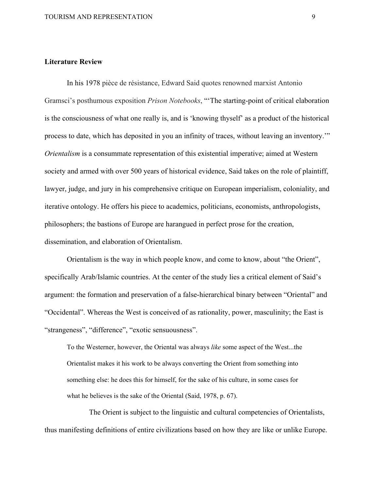#### <span id="page-9-0"></span>**Literature Review**

In his 1978 pièce de résistance, Edward Said quotes renowned marxist Antonio Gramsci's posthumous exposition *Prison Notebooks*, "'The starting-point of critical elaboration is the consciousness of what one really is, and is 'knowing thyself' as a product of the historical process to date, which has deposited in you an infinity of traces, without leaving an inventory.'" *Orientalism* is a consummate representation of this existential imperative; aimed at Western society and armed with over 500 years of historical evidence, Said takes on the role of plaintiff, lawyer, judge, and jury in his comprehensive critique on European imperialism, coloniality, and iterative ontology. He offers his piece to academics, politicians, economists, anthropologists, philosophers; the bastions of Europe are harangued in perfect prose for the creation, dissemination, and elaboration of Orientalism.

Orientalism is the way in which people know, and come to know, about "the Orient", specifically Arab/Islamic countries. At the center of the study lies a critical element of Said's argument: the formation and preservation of a false-hierarchical binary between "Oriental" and "Occidental". Whereas the West is conceived of as rationality, power, masculinity; the East is "strangeness", "difference", "exotic sensuousness".

To the Westerner, however, the Oriental was always *like* some aspect of the West...the Orientalist makes it his work to be always converting the Orient from something into something else: he does this for himself, for the sake of his culture, in some cases for what he believes is the sake of the Oriental (Said, 1978, p. 67).

The Orient is subject to the linguistic and cultural competencies of Orientalists, thus manifesting definitions of entire civilizations based on how they are like or unlike Europe.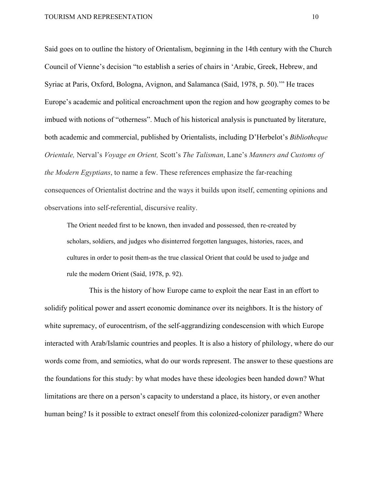Said goes on to outline the history of Orientalism, beginning in the 14th century with the Church Council of Vienne's decision "to establish a series of chairs in 'Arabic, Greek, Hebrew, and Syriac at Paris, Oxford, Bologna, Avignon, and Salamanca (Said, 1978, p. 50).'" He traces Europe's academic and political encroachment upon the region and how geography comes to be imbued with notions of "otherness". Much of his historical analysis is punctuated by literature, both academic and commercial, published by Orientalists, including D'Herbelot's *Bibliotheque Orientale,* Nerval's *Voyage en Orient,* Scott's *The Talisman*, Lane's *Manners and Customs of the Modern Egyptians*, to name a few. These references emphasize the far-reaching consequences of Orientalist doctrine and the ways it builds upon itself, cementing opinions and observations into self-referential, discursive reality.

The Orient needed first to be known, then invaded and possessed, then re-created by scholars, soldiers, and judges who disinterred forgotten languages, histories, races, and cultures in order to posit them-as the true classical Orient that could be used to judge and rule the modern Orient (Said, 1978, p. 92).

This is the history of how Europe came to exploit the near East in an effort to solidify political power and assert economic dominance over its neighbors. It is the history of white supremacy, of eurocentrism, of the self-aggrandizing condescension with which Europe interacted with Arab/Islamic countries and peoples. It is also a history of philology, where do our words come from, and semiotics, what do our words represent. The answer to these questions are the foundations for this study: by what modes have these ideologies been handed down? What limitations are there on a person's capacity to understand a place, its history, or even another human being? Is it possible to extract oneself from this colonized-colonizer paradigm? Where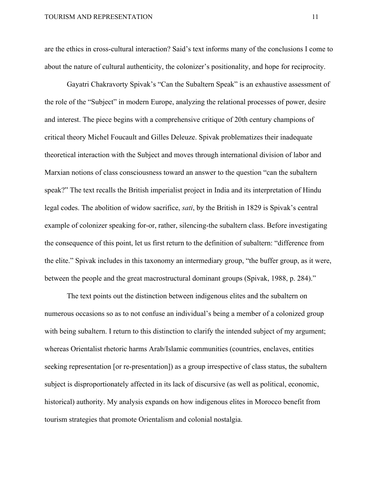are the ethics in cross-cultural interaction? Said's text informs many of the conclusions I come to about the nature of cultural authenticity, the colonizer's positionality, and hope for reciprocity.

Gayatri Chakravorty Spivak's "Can the Subaltern Speak" is an exhaustive assessment of the role of the "Subject" in modern Europe, analyzing the relational processes of power, desire and interest. The piece begins with a comprehensive critique of 20th century champions of critical theory Michel Foucault and Gilles Deleuze. Spivak problematizes their inadequate theoretical interaction with the Subject and moves through international division of labor and Marxian notions of class consciousness toward an answer to the question "can the subaltern speak?" The text recalls the British imperialist project in India and its interpretation of Hindu legal codes. The abolition of widow sacrifice, *sati*, by the British in 1829 is Spivak's central example of colonizer speaking for-or, rather, silencing-the subaltern class. Before investigating the consequence of this point, let us first return to the definition of subaltern: "difference from the elite." Spivak includes in this taxonomy an intermediary group, "the buffer group, as it were, between the people and the great macrostructural dominant groups (Spivak, 1988, p. 284)."

The text points out the distinction between indigenous elites and the subaltern on numerous occasions so as to not confuse an individual's being a member of a colonized group with being subaltern. I return to this distinction to clarify the intended subject of my argument; whereas Orientalist rhetoric harms Arab/Islamic communities (countries, enclaves, entities seeking representation [or re-presentation]) as a group irrespective of class status, the subaltern subject is disproportionately affected in its lack of discursive (as well as political, economic, historical) authority. My analysis expands on how indigenous elites in Morocco benefit from tourism strategies that promote Orientalism and colonial nostalgia.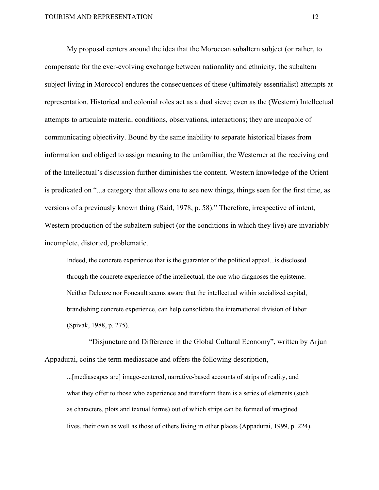My proposal centers around the idea that the Moroccan subaltern subject (or rather, to compensate for the ever-evolving exchange between nationality and ethnicity, the subaltern subject living in Morocco) endures the consequences of these (ultimately essentialist) attempts at representation. Historical and colonial roles act as a dual sieve; even as the (Western) Intellectual attempts to articulate material conditions, observations, interactions; they are incapable of communicating objectivity. Bound by the same inability to separate historical biases from information and obliged to assign meaning to the unfamiliar, the Westerner at the receiving end of the Intellectual's discussion further diminishes the content. Western knowledge of the Orient is predicated on "...a category that allows one to see new things, things seen for the first time, as versions of a previously known thing (Said, 1978, p. 58)." Therefore, irrespective of intent, Western production of the subaltern subject (or the conditions in which they live) are invariably incomplete, distorted, problematic.

Indeed, the concrete experience that is the guarantor of the political appeal...is disclosed through the concrete experience of the intellectual, the one who diagnoses the episteme. Neither Deleuze nor Foucault seems aware that the intellectual within socialized capital, brandishing concrete experience, can help consolidate the international division of labor (Spivak, 1988, p. 275).

"Disjuncture and Difference in the Global Cultural Economy", written by Arjun Appadurai, coins the term mediascape and offers the following description,

...[mediascapes are] image-centered, narrative-based accounts of strips of reality, and what they offer to those who experience and transform them is a series of elements (such as characters, plots and textual forms) out of which strips can be formed of imagined lives, their own as well as those of others living in other places (Appadurai, 1999, p. 224).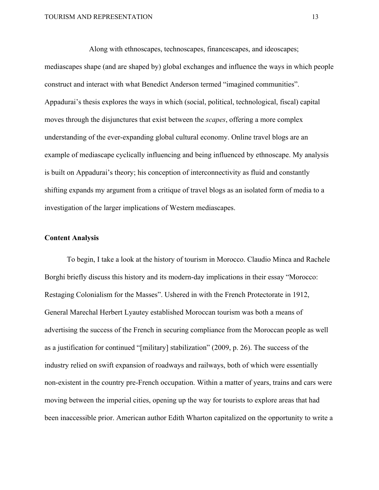Along with ethnoscapes, technoscapes, financescapes, and ideoscapes; mediascapes shape (and are shaped by) global exchanges and influence the ways in which people construct and interact with what Benedict Anderson termed "imagined communities". Appadurai's thesis explores the ways in which (social, political, technological, fiscal) capital moves through the disjunctures that exist between the *scapes*, offering a more complex understanding of the ever-expanding global cultural economy. Online travel blogs are an example of mediascape cyclically influencing and being influenced by ethnoscape. My analysis is built on Appadurai's theory; his conception of interconnectivity as fluid and constantly shifting expands my argument from a critique of travel blogs as an isolated form of media to a investigation of the larger implications of Western mediascapes.

### <span id="page-13-0"></span>**Content Analysis**

To begin, I take a look at the history of tourism in Morocco. Claudio Minca and Rachele Borghi briefly discuss this history and its modern-day implications in their essay "Morocco: Restaging Colonialism for the Masses". Ushered in with the French Protectorate in 1912, General Marechal Herbert Lyautey established Moroccan tourism was both a means of advertising the success of the French in securing compliance from the Moroccan people as well as a justification for continued "[military] stabilization" (2009, p. 26). The success of the industry relied on swift expansion of roadways and railways, both of which were essentially non-existent in the country pre-French occupation. Within a matter of years, trains and cars were moving between the imperial cities, opening up the way for tourists to explore areas that had been inaccessible prior. American author Edith Wharton capitalized on the opportunity to write a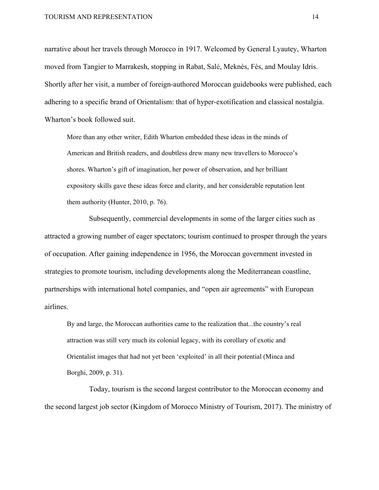narrative about her travels through Morocco in 1917. Welcomed by General Lyautey, Wharton moved from Tangier to Marrakesh, stopping in Rabat, Salé, Meknès, Fès, and Moulay Idris. Shortly after her visit, a number of foreign-authored Moroccan guidebooks were published, each adhering to a specific brand of Orientalism: that of hyper-exotification and classical nostalgia. Wharton's book followed suit.

More than any other writer, Edith Wharton embedded these ideas in the minds of American and British readers, and doubtless drew many new travellers to Morocco's shores. Wharton's gift of imagination, her power of observation, and her brilliant expository skills gave these ideas force and clarity, and her considerable reputation lent them authority (Hunter, 2010, p. 76).

Subsequently, commercial developments in some of the larger cities such as attracted a growing number of eager spectators; tourism continued to prosper through the years of occupation. After gaining independence in 1956, the Moroccan government invested in strategies to promote tourism, including developments along the Mediterranean coastline, partnerships with international hotel companies, and "open air agreements" with European airlines.

By and large, the Moroccan authorities came to the realization that...the country's real attraction was still very much its colonial legacy, with its corollary of exotic and Orientalist images that had not yet been 'exploited' in all their potential (Minca and Borghi, 2009, p. 31).

Today, tourism is the second largest contributor to the Moroccan economy and the second largest job sector (Kingdom of Morocco Ministry of Tourism, 2017). The ministry of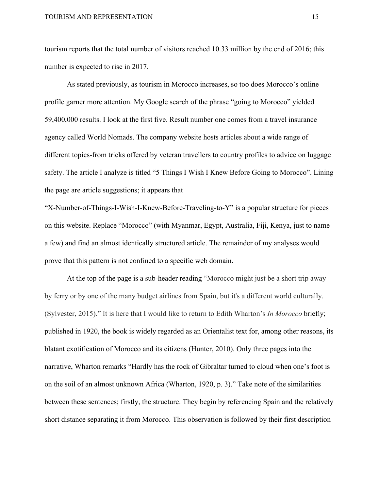tourism reports that the total number of visitors reached 10.33 million by the end of 2016; this number is expected to rise in 2017.

As stated previously, as tourism in Morocco increases, so too does Morocco's online profile garner more attention. My Google search of the phrase "going to Morocco" yielded 59,400,000 results. I look at the first five. Result number one comes from a travel insurance agency called World Nomads. The company website hosts articles about a wide range of different topics-from tricks offered by veteran travellers to country profiles to advice on luggage safety. The article I analyze is titled "5 Things I Wish I Knew Before Going to Morocco". Lining the page are article suggestions; it appears that

"X-Number-of-Things-I-Wish-I-Knew-Before-Traveling-to-Y" is a popular structure for pieces on this website. Replace "Morocco" (with Myanmar, Egypt, Australia, Fiji, Kenya, just to name a few) and find an almost identically structured article. The remainder of my analyses would prove that this pattern is not confined to a specific web domain.

At the top of the page is a sub-header reading "Morocco might just be a short trip away by ferry or by one of the many budget airlines from Spain, but it's a different world culturally. (Sylvester, 2015)." It is here that I would like to return to Edith Wharton's *In Morocco* briefly; published in 1920, the book is widely regarded as an Orientalist text for, among other reasons, its blatant exotification of Morocco and its citizens (Hunter, 2010). Only three pages into the narrative, Wharton remarks "Hardly has the rock of Gibraltar turned to cloud when one's foot is on the soil of an almost unknown Africa (Wharton, 1920, p. 3)." Take note of the similarities between these sentences; firstly, the structure. They begin by referencing Spain and the relatively short distance separating it from Morocco. This observation is followed by their first description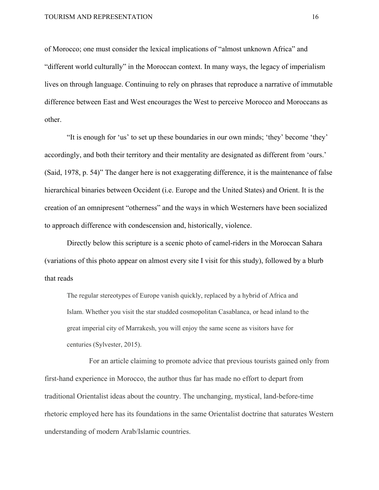of Morocco; one must consider the lexical implications of "almost unknown Africa" and "different world culturally" in the Moroccan context. In many ways, the legacy of imperialism lives on through language. Continuing to rely on phrases that reproduce a narrative of immutable difference between East and West encourages the West to perceive Morocco and Moroccans as other.

"It is enough for 'us' to set up these boundaries in our own minds; 'they' become 'they' accordingly, and both their territory and their mentality are designated as different from 'ours.' (Said, 1978, p. 54)" The danger here is not exaggerating difference, it is the maintenance of false hierarchical binaries between Occident (i.e. Europe and the United States) and Orient. It is the creation of an omnipresent "otherness" and the ways in which Westerners have been socialized to approach difference with condescension and, historically, violence.

Directly below this scripture is a scenic photo of camel-riders in the Moroccan Sahara (variations of this photo appear on almost every site I visit for this study), followed by a blurb that reads

The regular stereotypes of Europe vanish quickly, replaced by a hybrid of Africa and Islam. Whether you visit the star studded cosmopolitan Casablanca, or head inland to the great imperial city of Marrakesh, you will enjoy the same scene as visitors have for centuries (Sylvester, 2015).

For an article claiming to promote advice that previous tourists gained only from first-hand experience in Morocco, the author thus far has made no effort to depart from traditional Orientalist ideas about the country. The unchanging, mystical, land-before-time rhetoric employed here has its foundations in the same Orientalist doctrine that saturates Western understanding of modern Arab/Islamic countries.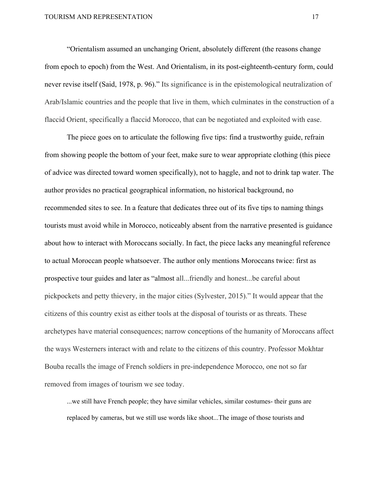"Orientalism assumed an unchanging Orient, absolutely different (the reasons change from epoch to epoch) from the West. And Orientalism, in its post-eighteenth-century form, could never revise itself (Said, 1978, p. 96)." Its significance is in the epistemological neutralization of Arab/Islamic countries and the people that live in them, which culminates in the construction of a flaccid Orient, specifically a flaccid Morocco, that can be negotiated and exploited with ease.

The piece goes on to articulate the following five tips: find a trustworthy guide, refrain from showing people the bottom of your feet, make sure to wear appropriate clothing (this piece of advice was directed toward women specifically), not to haggle, and not to drink tap water. The author provides no practical geographical information, no historical background, no recommended sites to see. In a feature that dedicates three out of its five tips to naming things tourists must avoid while in Morocco, noticeably absent from the narrative presented is guidance about how to interact with Moroccans socially. In fact, the piece lacks any meaningful reference to actual Moroccan people whatsoever. The author only mentions Moroccans twice: first as prospective tour guides and later as "almost all...friendly and honest...be careful about pickpockets and petty thievery, in the major cities (Sylvester, 2015)." It would appear that the citizens of this country exist as either tools at the disposal of tourists or as threats. These archetypes have material consequences; narrow conceptions of the humanity of Moroccans affect the ways Westerners interact with and relate to the citizens of this country. Professor Mokhtar Bouba recalls the image of French soldiers in pre-independence Morocco, one not so far removed from images of tourism we see today.

...we still have French people; they have similar vehicles, similar costumes- their guns are replaced by cameras, but we still use words like shoot...The image of those tourists and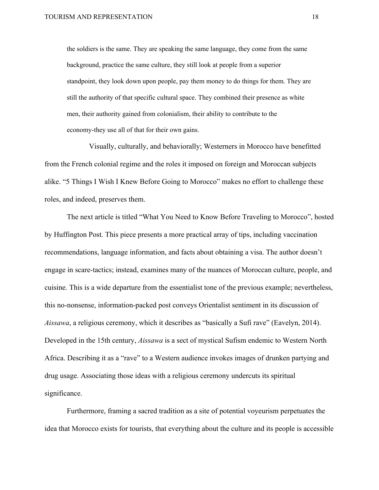the soldiers is the same. They are speaking the same language, they come from the same background, practice the same culture, they still look at people from a superior standpoint, they look down upon people, pay them money to do things for them. They are still the authority of that specific cultural space. They combined their presence as white men, their authority gained from colonialism, their ability to contribute to the economy-they use all of that for their own gains.

Visually, culturally, and behaviorally; Westerners in Morocco have benefitted from the French colonial regime and the roles it imposed on foreign and Moroccan subjects alike. "5 Things I Wish I Knew Before Going to Morocco" makes no effort to challenge these roles, and indeed, preserves them.

The next article is titled "What You Need to Know Before Traveling to Morocco", hosted by Huffington Post. This piece presents a more practical array of tips, including vaccination recommendations, language information, and facts about obtaining a visa. The author doesn't engage in scare-tactics; instead, examines many of the nuances of Moroccan culture, people, and cuisine. This is a wide departure from the essentialist tone of the previous example; nevertheless, this no-nonsense, information-packed post conveys Orientalist sentiment in its discussion of *Aissawa*, a religious ceremony, which it describes as "basically a Sufi rave" (Eavelyn, 2014). Developed in the 15th century, *Aissawa* is a sect of mystical Sufism endemic to Western North Africa. Describing it as a "rave" to a Western audience invokes images of drunken partying and drug usage. Associating those ideas with a religious ceremony undercuts its spiritual significance.

Furthermore, framing a sacred tradition as a site of potential voyeurism perpetuates the idea that Morocco exists for tourists, that everything about the culture and its people is accessible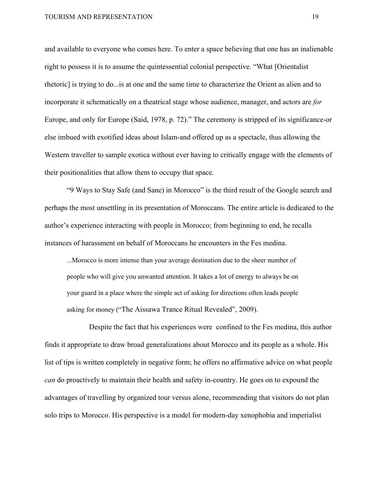#### TOURISM AND REPRESENTATION 19

and available to everyone who comes here. To enter a space believing that one has an inalienable right to possess it is to assume the quintessential colonial perspective. "What [Orientalist rhetoric] is trying to do...is at one and the same time to characterize the Orient as alien and to incorporate it schematically on a theatrical stage whose audience, manager, and actors are *for* Europe, and only for Europe (Said, 1978, p. 72)." The ceremony is stripped of its significance-or else imbued with exotified ideas about Islam-and offered up as a spectacle, thus allowing the Western traveller to sample exotica without ever having to critically engage with the elements of their positionalities that allow them to occupy that space.

"9 Ways to Stay Safe (and Sane) in Morocco" is the third result of the Google search and perhaps the most unsettling in its presentation of Moroccans. The entire article is dedicated to the author's experience interacting with people in Morocco; from beginning to end, he recalls instances of harassment on behalf of Moroccans he encounters in the Fes medina.

...Morocco is more intense than your average destination due to the sheer number of people who will give you unwanted attention. It takes a lot of energy to always be on your guard in a place where the simple act of asking for directions often leads people asking for money ("The Aissawa Trance Ritual Revealed", 2009).

Despite the fact that his experiences were confined to the Fes medina, this author finds it appropriate to draw broad generalizations about Morocco and its people as a whole. His list of tips is written completely in negative form; he offers no affirmative advice on what people *can* do proactively to maintain their health and safety in-country. He goes on to expound the advantages of travelling by organized tour versus alone, recommending that visitors do not plan solo trips to Morocco. His perspective is a model for modern-day xenophobia and imperialist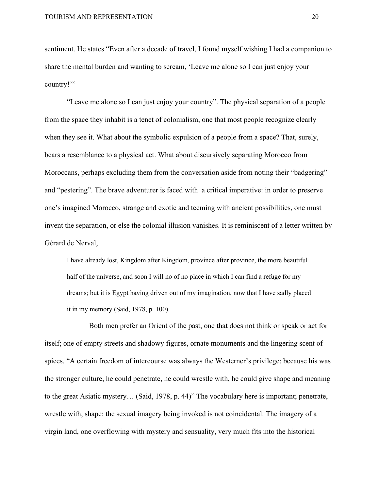sentiment. He states "Even after a decade of travel, I found myself wishing I had a companion to share the mental burden and wanting to scream, 'Leave me alone so I can just enjoy your country!'"

"Leave me alone so I can just enjoy your country". The physical separation of a people from the space they inhabit is a tenet of colonialism, one that most people recognize clearly when they see it. What about the symbolic expulsion of a people from a space? That, surely, bears a resemblance to a physical act. What about discursively separating Morocco from Moroccans, perhaps excluding them from the conversation aside from noting their "badgering" and "pestering". The brave adventurer is faced with a critical imperative: in order to preserve one's imagined Morocco, strange and exotic and teeming with ancient possibilities, one must invent the separation, or else the colonial illusion vanishes. It is reminiscent of a letter written by Gérard de Nerval,

I have already lost, Kingdom after Kingdom, province after province, the more beautiful half of the universe, and soon I will no of no place in which I can find a refuge for my dreams; but it is Egypt having driven out of my imagination, now that I have sadly placed it in my memory (Said, 1978, p. 100).

Both men prefer an Orient of the past, one that does not think or speak or act for itself; one of empty streets and shadowy figures, ornate monuments and the lingering scent of spices. "A certain freedom of intercourse was always the Westerner's privilege; because his was the stronger culture, he could penetrate, he could wrestle with, he could give shape and meaning to the great Asiatic mystery… (Said, 1978, p. 44)" The vocabulary here is important; penetrate, wrestle with, shape: the sexual imagery being invoked is not coincidental. The imagery of a virgin land, one overflowing with mystery and sensuality, very much fits into the historical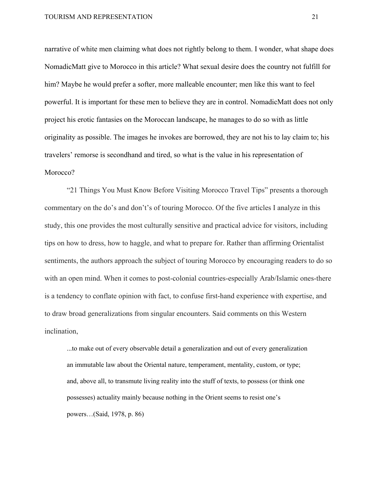narrative of white men claiming what does not rightly belong to them. I wonder, what shape does NomadicMatt give to Morocco in this article? What sexual desire does the country not fulfill for him? Maybe he would prefer a softer, more malleable encounter; men like this want to feel powerful. It is important for these men to believe they are in control. NomadicMatt does not only project his erotic fantasies on the Moroccan landscape, he manages to do so with as little originality as possible. The images he invokes are borrowed, they are not his to lay claim to; his travelers' remorse is secondhand and tired, so what is the value in his representation of Morocco?

"21 Things You Must Know Before Visiting Morocco Travel Tips" presents a thorough commentary on the do's and don't's of touring Morocco. Of the five articles I analyze in this study, this one provides the most culturally sensitive and practical advice for visitors, including tips on how to dress, how to haggle, and what to prepare for. Rather than affirming Orientalist sentiments, the authors approach the subject of touring Morocco by encouraging readers to do so with an open mind. When it comes to post-colonial countries-especially Arab/Islamic ones-there is a tendency to conflate opinion with fact, to confuse first-hand experience with expertise, and to draw broad generalizations from singular encounters. Said comments on this Western inclination,

...to make out of every observable detail a generalization and out of every generalization an immutable law about the Oriental nature, temperament, mentality, custom, or type; and, above all, to transmute living reality into the stuff of texts, to possess (or think one possesses) actuality mainly because nothing in the Orient seems to resist one's powers…(Said, 1978, p. 86)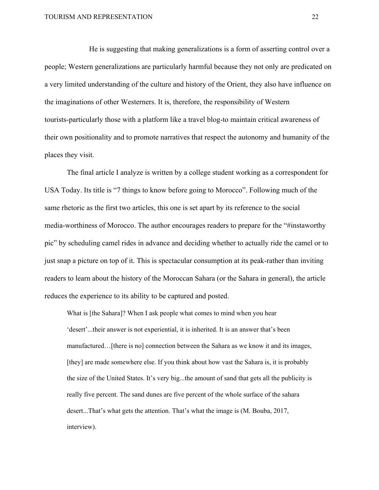He is suggesting that making generalizations is a form of asserting control over a people; Western generalizations are particularly harmful because they not only are predicated on a very limited understanding of the culture and history of the Orient, they also have influence on the imaginations of other Westerners. It is, therefore, the responsibility of Western tourists-particularly those with a platform like a travel blog-to maintain critical awareness of their own positionality and to promote narratives that respect the autonomy and humanity of the places they visit.

The final article I analyze is written by a college student working as a correspondent for USA Today. Its title is "7 things to know before going to Morocco". Following much of the same rhetoric as the first two articles, this one is set apart by its reference to the social media-worthiness of Morocco. The author encourages readers to prepare for the "#instaworthy pic" by scheduling camel rides in advance and deciding whether to actually ride the camel or to just snap a picture on top of it. This is spectacular consumption at its peak-rather than inviting readers to learn about the history of the Moroccan Sahara (or the Sahara in general), the article reduces the experience to its ability to be captured and posted.

What is [the Sahara]? When I ask people what comes to mind when you hear 'desert'...their answer is not experiential, it is inherited. It is an answer that's been manufactured…[there is no] connection between the Sahara as we know it and its images, [they] are made somewhere else. If you think about how vast the Sahara is, it is probably the size of the United States. It's very big...the amount of sand that gets all the publicity is really five percent. The sand dunes are five percent of the whole surface of the sahara desert...That's what gets the attention. That's what the image is (M. Bouba, 2017, interview).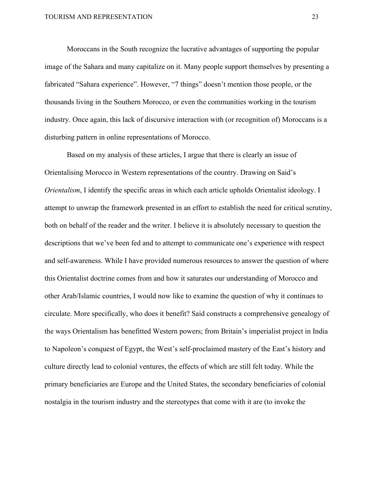Moroccans in the South recognize the lucrative advantages of supporting the popular image of the Sahara and many capitalize on it. Many people support themselves by presenting a fabricated "Sahara experience". However, "7 things" doesn't mention those people, or the thousands living in the Southern Morocco, or even the communities working in the tourism industry. Once again, this lack of discursive interaction with (or recognition of) Moroccans is a disturbing pattern in online representations of Morocco.

Based on my analysis of these articles, I argue that there is clearly an issue of Orientalising Morocco in Western representations of the country. Drawing on Said's *Orientalism*, I identify the specific areas in which each article upholds Orientalist ideology. I attempt to unwrap the framework presented in an effort to establish the need for critical scrutiny, both on behalf of the reader and the writer. I believe it is absolutely necessary to question the descriptions that we've been fed and to attempt to communicate one's experience with respect and self-awareness. While I have provided numerous resources to answer the question of where this Orientalist doctrine comes from and how it saturates our understanding of Morocco and other Arab/Islamic countries, I would now like to examine the question of why it continues to circulate. More specifically, who does it benefit? Said constructs a comprehensive genealogy of the ways Orientalism has benefitted Western powers; from Britain's imperialist project in India to Napoleon's conquest of Egypt, the West's self-proclaimed mastery of the East's history and culture directly lead to colonial ventures, the effects of which are still felt today. While the primary beneficiaries are Europe and the United States, the secondary beneficiaries of colonial nostalgia in the tourism industry and the stereotypes that come with it are (to invoke the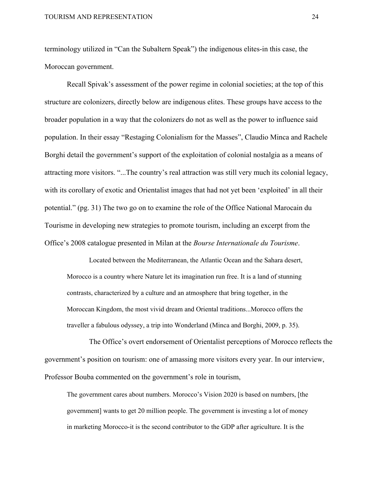terminology utilized in "Can the Subaltern Speak") the indigenous elites-in this case, the Moroccan government.

Recall Spivak's assessment of the power regime in colonial societies; at the top of this structure are colonizers, directly below are indigenous elites. These groups have access to the broader population in a way that the colonizers do not as well as the power to influence said population. In their essay "Restaging Colonialism for the Masses", Claudio Minca and Rachele Borghi detail the government's support of the exploitation of colonial nostalgia as a means of attracting more visitors. "...The country's real attraction was still very much its colonial legacy, with its corollary of exotic and Orientalist images that had not yet been 'exploited' in all their potential." (pg. 31) The two go on to examine the role of the Office National Marocain du Tourisme in developing new strategies to promote tourism, including an excerpt from the Office's 2008 catalogue presented in Milan at the *Bourse Internationale du Tourisme*.

Located between the Mediterranean, the Atlantic Ocean and the Sahara desert, Morocco is a country where Nature let its imagination run free. It is a land of stunning contrasts, characterized by a culture and an atmosphere that bring together, in the Moroccan Kingdom, the most vivid dream and Oriental traditions...Morocco offers the traveller a fabulous odyssey, a trip into Wonderland (Minca and Borghi, 2009, p. 35).

The Office's overt endorsement of Orientalist perceptions of Morocco reflects the government's position on tourism: one of amassing more visitors every year. In our interview, Professor Bouba commented on the government's role in tourism,

The government cares about numbers. Morocco's Vision 2020 is based on numbers, [the government] wants to get 20 million people. The government is investing a lot of money in marketing Morocco-it is the second contributor to the GDP after agriculture. It is the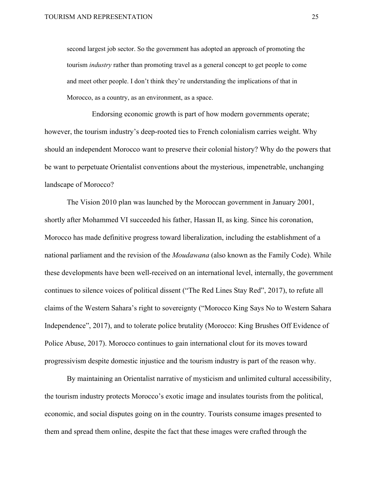second largest job sector. So the government has adopted an approach of promoting the tourism *industry* rather than promoting travel as a general concept to get people to come and meet other people. I don't think they're understanding the implications of that in Morocco, as a country, as an environment, as a space.

Endorsing economic growth is part of how modern governments operate; however, the tourism industry's deep-rooted ties to French colonialism carries weight. Why should an independent Morocco want to preserve their colonial history? Why do the powers that be want to perpetuate Orientalist conventions about the mysterious, impenetrable, unchanging landscape of Morocco?

The Vision 2010 plan was launched by the Moroccan government in January 2001, shortly after Mohammed VI succeeded his father, Hassan II, as king. Since his coronation, Morocco has made definitive progress toward liberalization, including the establishment of a national parliament and the revision of the *Moudawana* (also known as the Family Code). While these developments have been well-received on an international level, internally, the government continues to silence voices of political dissent ("The Red Lines Stay Red", 2017), to refute all claims of the Western Sahara's right to sovereignty ("Morocco King Says No to Western Sahara Independence", 2017), and to tolerate police brutality (Morocco: King Brushes Off Evidence of Police Abuse, 2017). Morocco continues to gain international clout for its moves toward progressivism despite domestic injustice and the tourism industry is part of the reason why.

By maintaining an Orientalist narrative of mysticism and unlimited cultural accessibility, the tourism industry protects Morocco's exotic image and insulates tourists from the political, economic, and social disputes going on in the country. Tourists consume images presented to them and spread them online, despite the fact that these images were crafted through the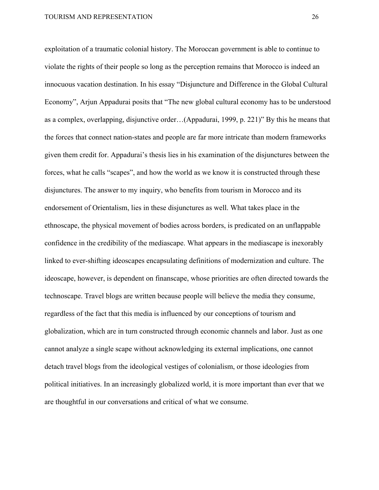exploitation of a traumatic colonial history. The Moroccan government is able to continue to violate the rights of their people so long as the perception remains that Morocco is indeed an innocuous vacation destination. In his essay "Disjuncture and Difference in the Global Cultural Economy", Arjun Appadurai posits that "The new global cultural economy has to be understood as a complex, overlapping, disjunctive order…(Appadurai, 1999, p. 221)" By this he means that the forces that connect nation-states and people are far more intricate than modern frameworks given them credit for. Appadurai's thesis lies in his examination of the disjunctures between the forces, what he calls "scapes", and how the world as we know it is constructed through these disjunctures. The answer to my inquiry, who benefits from tourism in Morocco and its endorsement of Orientalism, lies in these disjunctures as well. What takes place in the ethnoscape, the physical movement of bodies across borders, is predicated on an unflappable confidence in the credibility of the mediascape. What appears in the mediascape is inexorably linked to ever-shifting ideoscapes encapsulating definitions of modernization and culture. The ideoscape, however, is dependent on finanscape, whose priorities are often directed towards the technoscape. Travel blogs are written because people will believe the media they consume, regardless of the fact that this media is influenced by our conceptions of tourism and globalization, which are in turn constructed through economic channels and labor. Just as one cannot analyze a single scape without acknowledging its external implications, one cannot detach travel blogs from the ideological vestiges of colonialism, or those ideologies from political initiatives. In an increasingly globalized world, it is more important than ever that we are thoughtful in our conversations and critical of what we consume.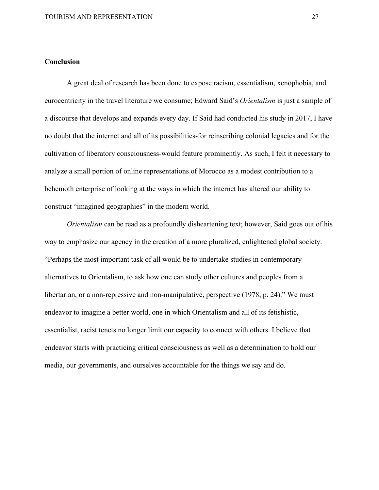# <span id="page-27-0"></span>**Conclusion**

A great deal of research has been done to expose racism, essentialism, xenophobia, and eurocentricity in the travel literature we consume; Edward Said's *Orientalism* is just a sample of a discourse that develops and expands every day. If Said had conducted his study in 2017, I have no doubt that the internet and all of its possibilities-for reinscribing colonial legacies and for the cultivation of liberatory consciousness-would feature prominently. As such, I felt it necessary to analyze a small portion of online representations of Morocco as a modest contribution to a behemoth enterprise of looking at the ways in which the internet has altered our ability to construct "imagined geographies" in the modern world.

*Orientalism* can be read as a profoundly disheartening text; however, Said goes out of his way to emphasize our agency in the creation of a more pluralized, enlightened global society. "Perhaps the most important task of all would be to undertake studies in contemporary alternatives to Orientalism, to ask how one can study other cultures and peoples from a libertarian, or a non-repressive and non-manipulative, perspective (1978, p. 24)." We must endeavor to imagine a better world, one in which Orientalism and all of its fetishistic, essentialist, racist tenets no longer limit our capacity to connect with others. I believe that endeavor starts with practicing critical consciousness as well as a determination to hold our media, our governments, and ourselves accountable for the things we say and do.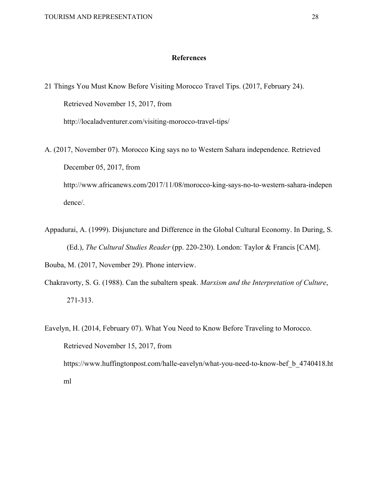## **References**

<span id="page-28-0"></span>21 Things You Must Know Before Visiting Morocco Travel Tips. (2017, February 24). Retrieved November 15, 2017, from http://localadventurer.com/visiting-morocco-travel-tips/ A. (2017, November 07). Morocco King says no to Western Sahara independence. Retrieved December 05, 2017, from http://www.africanews.com/2017/11/08/morocco-king-says-no-to-western-sahara-indepen dence/.

Appadurai, A. (1999). Disjuncture and Difference in the Global Cultural Economy. In During, S. (Ed.), *The Cultural Studies Reader* (pp. 220-230). London: Taylor & Francis [CAM].

Bouba, M. (2017, November 29). Phone interview.

- Chakravorty, S. G. (1988). Can the subaltern speak. *Marxism and the Interpretation of Culture*, 271-313.
- Eavelyn, H. (2014, February 07). What You Need to Know Before Traveling to Morocco. Retrieved November 15, 2017, from https://www.huffingtonpost.com/halle-eavelyn/what-you-need-to-know-bef\_b\_4740418.ht ml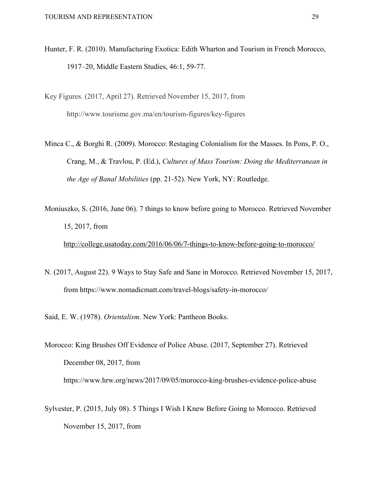- Hunter, F. R. (2010). Manufacturing Exotica: Edith Wharton and Tourism in French Morocco, 1917–20, Middle Eastern Studies, 46:1, 59-77.
- Key Figures. (2017, April 27). Retrieved November 15, 2017, from http://www.tourisme.gov.ma/en/tourism-figures/key-figures
- Minca C., & Borghi R. (2009). Morocco: Restaging Colonialism for the Masses. In Pons, P. O., Crang, M., & Travlou, P. (Ed.), *Cultures of Mass Tourism: Doing the Mediterranean in the Age of Banal Mobilities* (pp. 21-52). New York, NY: Routledge.
- Moniuszko, S. (2016, June 06). 7 things to know before going to Morocco. Retrieved November 15, 2017, from

<http://college.usatoday.com/2016/06/06/7-things-to-know-before-going-to-morocco/>

- N. (2017, August 22). 9 Ways to Stay Safe and Sane in Morocco. Retrieved November 15, 2017, from https://www.nomadicmatt.com/travel-blogs/safety-in-morocco/
- Said, E. W. (1978). *Orientalism*. New York: Pantheon Books.
- Morocco: King Brushes Off Evidence of Police Abuse. (2017, September 27). Retrieved December 08, 2017, from https://www.hrw.org/news/2017/09/05/morocco-king-brushes-evidence-police-abuse
- Sylvester, P. (2015, July 08). 5 Things I Wish I Knew Before Going to Morocco. Retrieved November 15, 2017, from